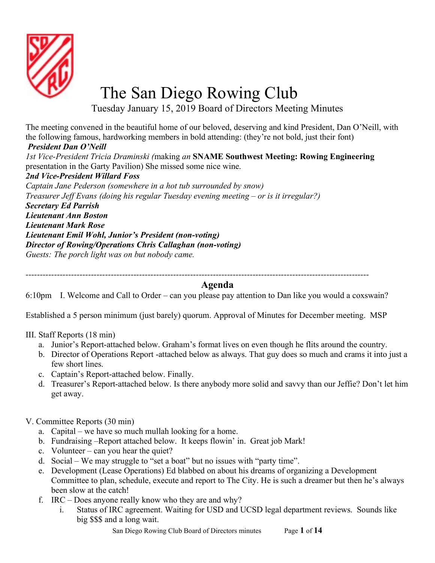

## The San Diego Rowing Club

Tuesday January 15, 2019 Board of Directors Meeting Minutes

The meeting convened in the beautiful home of our beloved, deserving and kind President, Dan O'Neill, with the following famous, hardworking members in bold attending: (they're not bold, just their font)

## President Dan O'Neill

1st Vice-President Tricia Draminski (making an SNAME Southwest Meeting: Rowing Engineering presentation in the Garty Pavilion) She missed some nice wine. 2nd Vice-President Willard Foss Captain Jane Pederson (somewhere in a hot tub surrounded by snow) Treasurer Jeff Evans (doing his regular Tuesday evening meeting – or is it irregular?) Secretary Ed Parrish Lieutenant Ann Boston Lieutenant Mark Rose Lieutenant Emil Wohl, Junior's President (non-voting) Director of Rowing/Operations Chris Callaghan (non-voting) Guests: The porch light was on but nobody came.

-------------------------------------------------------------------------------------------------------------------------

## Agenda

6:10pm I. Welcome and Call to Order – can you please pay attention to Dan like you would a coxswain?

Established a 5 person minimum (just barely) quorum. Approval of Minutes for December meeting. MSP

III. Staff Reports (18 min)

- a. Junior's Report-attached below. Graham's format lives on even though he flits around the country.
- b. Director of Operations Report -attached below as always. That guy does so much and crams it into just a few short lines.
- c. Captain's Report-attached below. Finally.
- d. Treasurer's Report-attached below. Is there anybody more solid and savvy than our Jeffie? Don't let him get away.
- V. Committee Reports (30 min)
	- a. Capital we have so much mullah looking for a home.
	- b. Fundraising –Report attached below. It keeps flowin' in. Great job Mark!
	- c. Volunteer can you hear the quiet?
	- d. Social We may struggle to "set a boat" but no issues with "party time".
	- e. Development (Lease Operations) Ed blabbed on about his dreams of organizing a Development Committee to plan, schedule, execute and report to The City. He is such a dreamer but then he's always been slow at the catch!
	- f. IRC Does anyone really know who they are and why?
		- i. Status of IRC agreement. Waiting for USD and UCSD legal department reviews. Sounds like big \$\$\$ and a long wait.

San Diego Rowing Club Board of Directors minutes Page 1 of 14